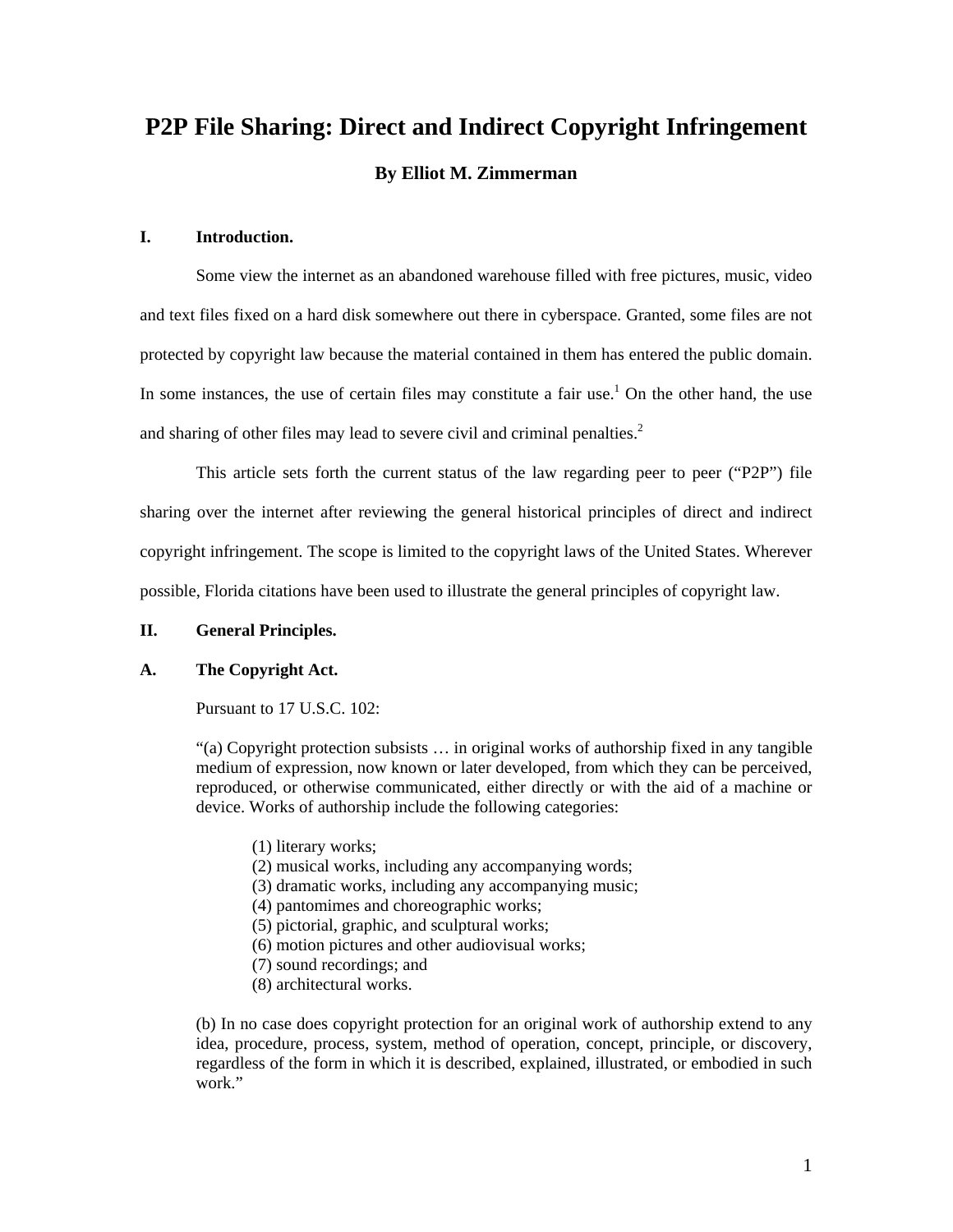# **P2P File Sharing: Direct and Indirect Copyright Infringement By Elliot M. Zimmerman**

# **I. Introduction.**

Some view the internet as an abandoned warehouse filled with free pictures, music, video and text files fixed on a hard disk somewhere out there in cyberspace. Granted, some files are not protected by copyright law because the material contained in them has entered the public domain. In some instances, the use of certain files may constitute a fair use.<sup>1</sup> On the other hand, the use and sharing of other files may lead to severe civil and criminal penalties. $<sup>2</sup>$ </sup>

This article sets forth the current status of the law regarding peer to peer ("P2P") file sharing over the internet after reviewing the general historical principles of direct and indirect copyright infringement. The scope is limited to the copyright laws of the United States. Wherever possible, Florida citations have been used to illustrate the general principles of copyright law.

#### **II. General Principles.**

## **A. The Copyright Act.**

Pursuant to 17 U.S.C. 102:

"(a) Copyright protection subsists … in original works of authorship fixed in any tangible medium of expression, now known or later developed, from which they can be perceived, reproduced, or otherwise communicated, either directly or with the aid of a machine or device. Works of authorship include the following categories:

- (1) literary works;
- (2) musical works, including any accompanying words;
- (3) dramatic works, including any accompanying music;
- (4) pantomimes and choreographic works;
- (5) pictorial, graphic, and sculptural works;
- (6) motion pictures and other audiovisual works;
- (7) sound recordings; and
- (8) architectural works.

(b) In no case does copyright protection for an original work of authorship extend to any idea, procedure, process, system, method of operation, concept, principle, or discovery, regardless of the form in which it is described, explained, illustrated, or embodied in such work."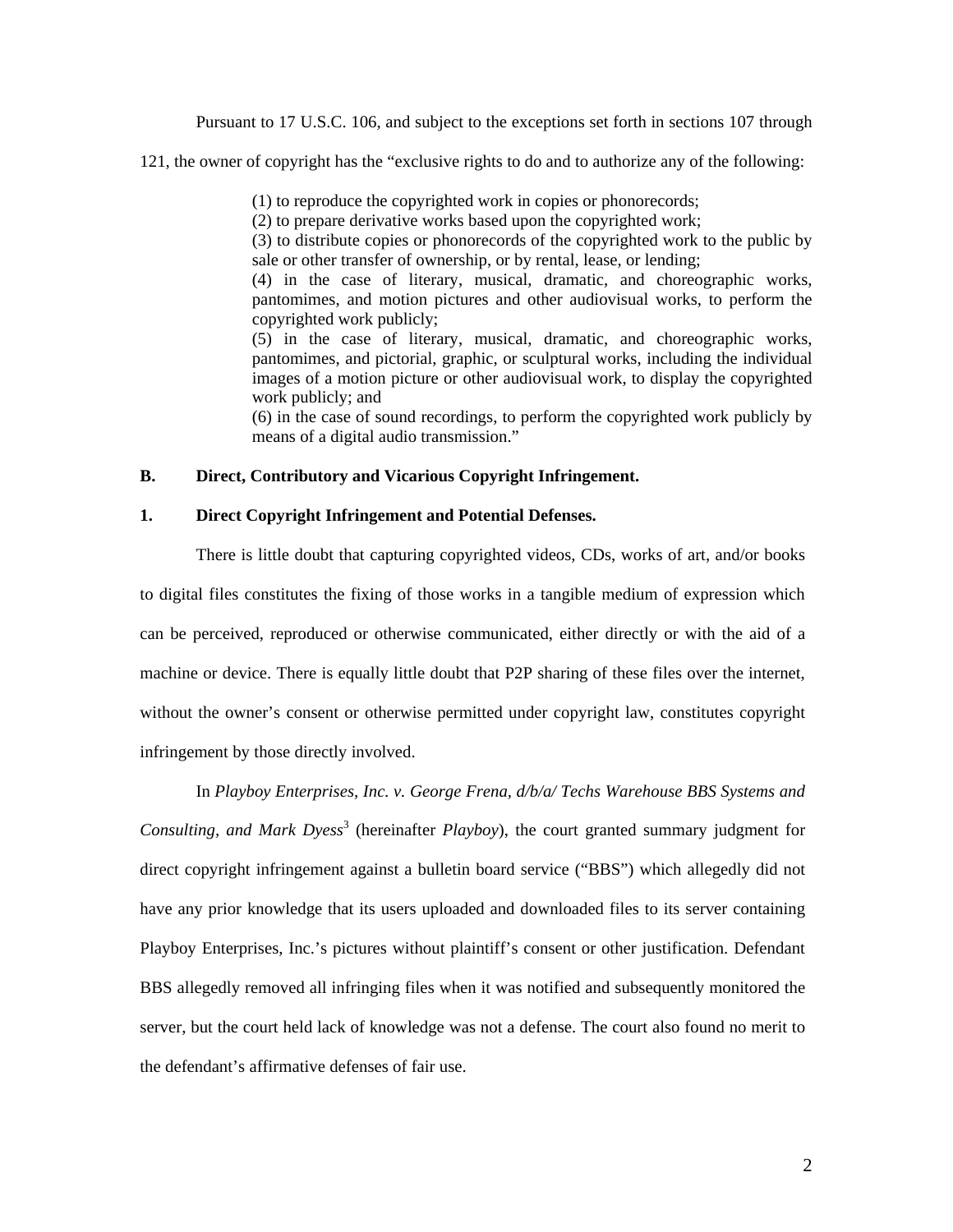Pursuant to 17 U.S.C. 106, and subject to the exceptions set forth in sections 107 through

121, the owner of copyright has the "exclusive rights to do and to authorize any of the following:

(1) to reproduce the copyrighted work in copies or phonorecords;

(2) to prepare derivative works based upon the copyrighted work;

(3) to distribute copies or phonorecords of the copyrighted work to the public by sale or other transfer of ownership, or by rental, lease, or lending;

(4) in the case of literary, musical, dramatic, and choreographic works, pantomimes, and motion pictures and other audiovisual works, to perform the copyrighted work publicly;

(5) in the case of literary, musical, dramatic, and choreographic works, pantomimes, and pictorial, graphic, or sculptural works, including the individual images of a motion picture or other audiovisual work, to display the copyrighted work publicly; and

(6) in the case of sound recordings, to perform the copyrighted work publicly by means of a digital audio transmission."

## **B. Direct, Contributory and Vicarious Copyright Infringement.**

## **1. Direct Copyright Infringement and Potential Defenses.**

There is little doubt that capturing copyrighted videos, CDs, works of art, and/or books to digital files constitutes the fixing of those works in a tangible medium of expression which can be perceived, reproduced or otherwise communicated, either directly or with the aid of a machine or device. There is equally little doubt that P2P sharing of these files over the internet, without the owner's consent or otherwise permitted under copyright law, constitutes copyright infringement by those directly involved.

In *Playboy Enterprises, Inc. v. George Frena, d/b/a/ Techs Warehouse BBS Systems and*  Consulting, and Mark Dyess<sup>3</sup> (hereinafter *Playboy*), the court granted summary judgment for direct copyright infringement against a bulletin board service ("BBS") which allegedly did not have any prior knowledge that its users uploaded and downloaded files to its server containing Playboy Enterprises, Inc.'s pictures without plaintiff's consent or other justification. Defendant BBS allegedly removed all infringing files when it was notified and subsequently monitored the server, but the court held lack of knowledge was not a defense. The court also found no merit to the defendant's affirmative defenses of fair use.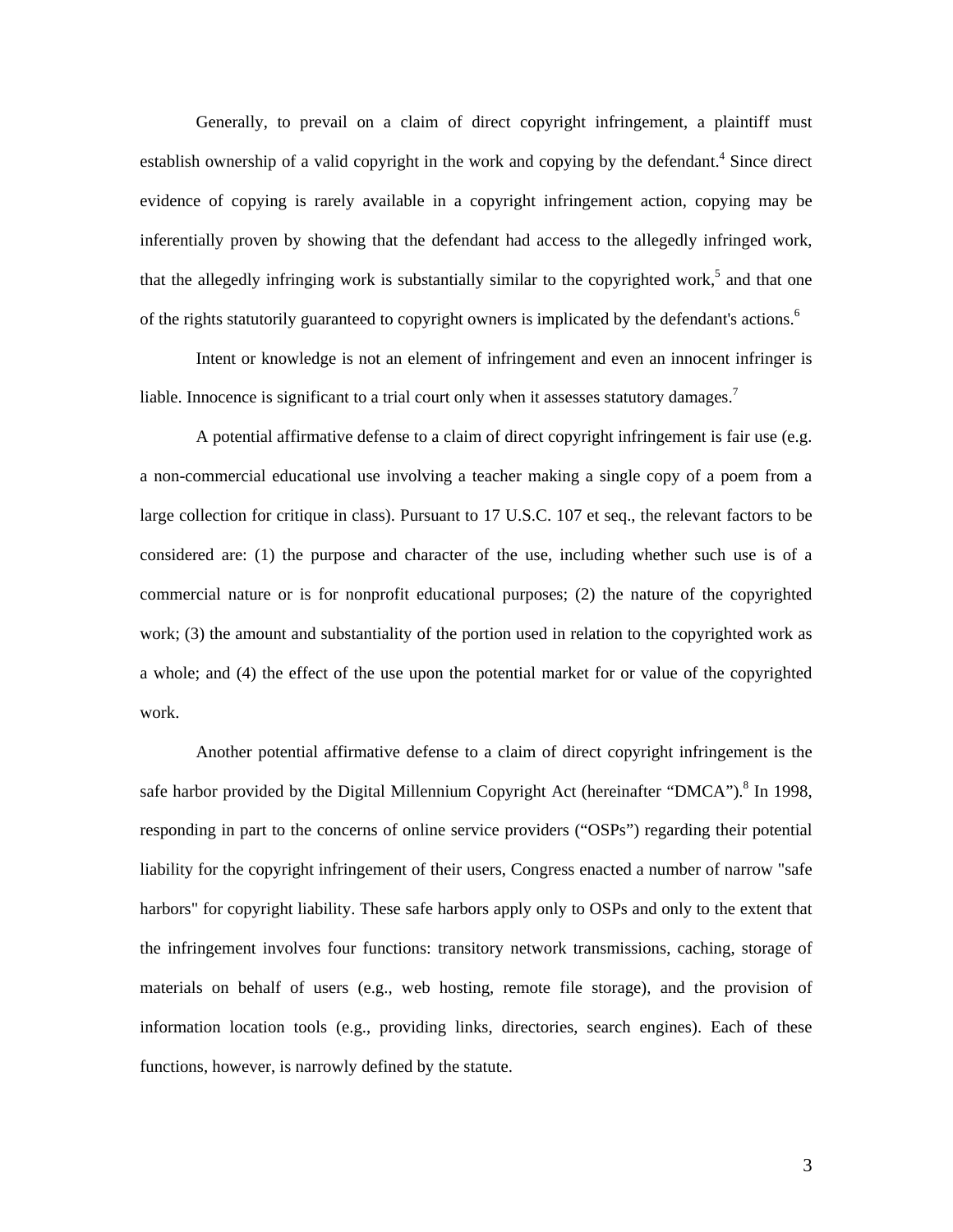Generally, to prevail on a claim of direct copyright infringement, a plaintiff must establish ownership of a valid copyright in the work and copying by the defendant.<sup>4</sup> Since direct evidence of copying is rarely available in a copyright infringement action, copying may be inferentially proven by showing that the defendant had access to the allegedly infringed work, that the allegedly infringing work is substantially similar to the copyrighted work,<sup>5</sup> and that one of the rights statutorily guaranteed to copyright owners is implicated by the defendant's actions.<sup>6</sup>

Intent or knowledge is not an element of infringement and even an innocent infringer is liable. Innocence is significant to a trial court only when it assesses statutory damages.<sup>7</sup>

A potential affirmative defense to a claim of direct copyright infringement is fair use (e.g. a non-commercial educational use involving a teacher making a single copy of a poem from a large collection for critique in class). Pursuant to 17 U.S.C. 107 et seq., the relevant factors to be considered are: (1) the purpose and character of the use, including whether such use is of a commercial nature or is for nonprofit educational purposes; (2) the nature of the copyrighted work; (3) the amount and substantiality of the portion used in relation to the copyrighted work as a whole; and (4) the effect of the use upon the potential market for or value of the copyrighted work.

Another potential affirmative defense to a claim of direct copyright infringement is the safe harbor provided by the Digital Millennium Copyright Act (hereinafter "DMCA").<sup>8</sup> In 1998, responding in part to the concerns of online service providers ("OSPs") regarding their potential liability for the copyright infringement of their users, Congress enacted a number of narrow "safe harbors" for copyright liability. These safe harbors apply only to OSPs and only to the extent that the infringement involves four functions: transitory network transmissions, caching, storage of materials on behalf of users (e.g., web hosting, remote file storage), and the provision of information location tools (e.g., providing links, directories, search engines). Each of these functions, however, is narrowly defined by the statute.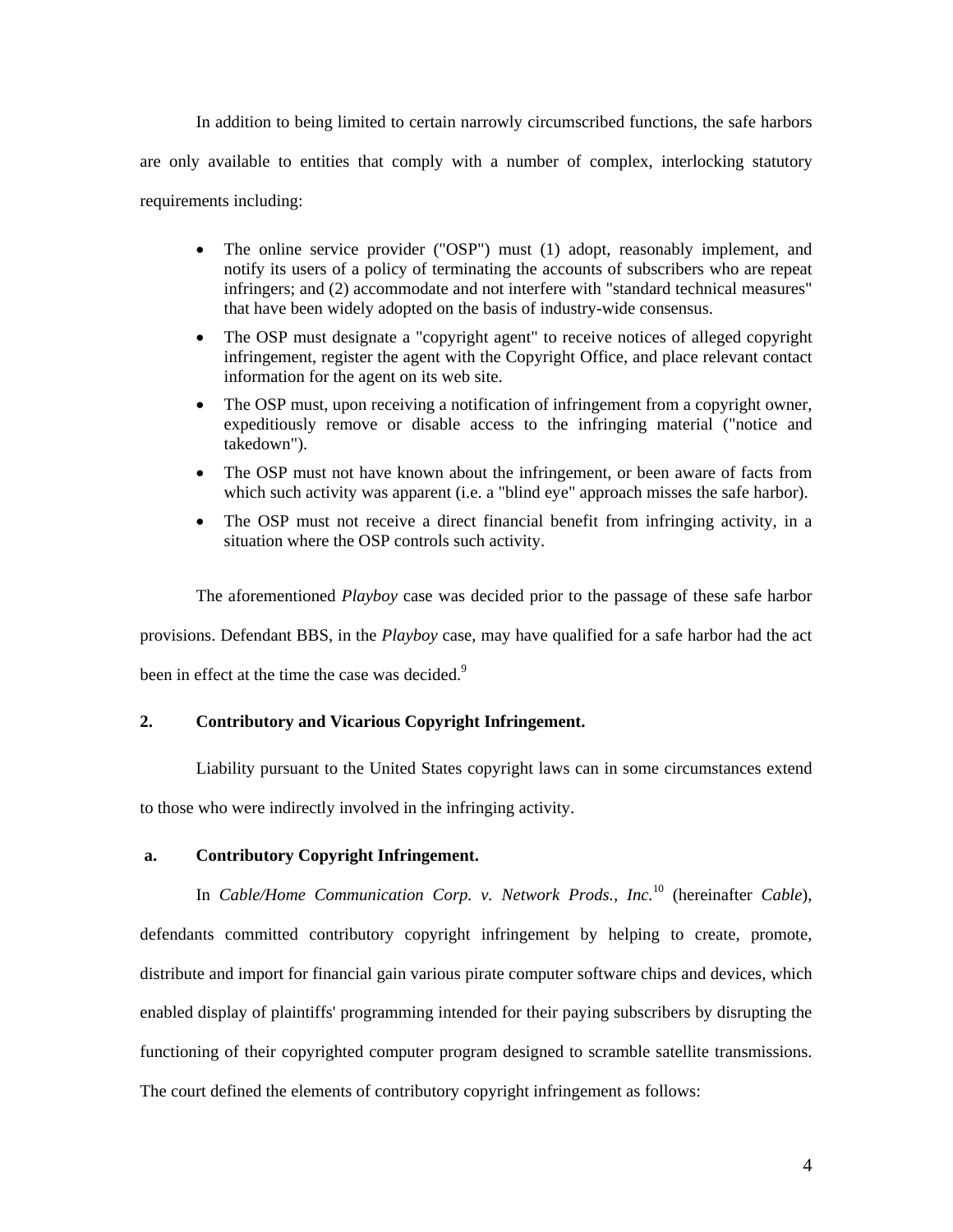In addition to being limited to certain narrowly circumscribed functions, the safe harbors are only available to entities that comply with a number of complex, interlocking statutory requirements including:

- The online service provider ("OSP") must (1) adopt, reasonably implement, and notify its users of a policy of terminating the accounts of subscribers who are repeat infringers; and (2) accommodate and not interfere with "standard technical measures" that have been widely adopted on the basis of industry-wide consensus.
- The OSP must designate a "copyright agent" to receive notices of alleged copyright infringement, register the agent with the Copyright Office, and place relevant contact information for the agent on its web site.
- The OSP must, upon receiving a notification of infringement from a copyright owner, expeditiously remove or disable access to the infringing material ("notice and takedown").
- The OSP must not have known about the infringement, or been aware of facts from which such activity was apparent (i.e. a "blind eye" approach misses the safe harbor).
- The OSP must not receive a direct financial benefit from infringing activity, in a situation where the OSP controls such activity.

The aforementioned *Playboy* case was decided prior to the passage of these safe harbor

provisions. Defendant BBS, in the *Playboy* case, may have qualified for a safe harbor had the act

been in effect at the time the case was decided.<sup>9</sup>

# **2. Contributory and Vicarious Copyright Infringement.**

Liability pursuant to the United States copyright laws can in some circumstances extend

to those who were indirectly involved in the infringing activity.

# **a. Contributory Copyright Infringement.**

In *Cable/Home Communication Corp. v. Network Prods., Inc.*10 (hereinafter *Cable*), defendants committed contributory copyright infringement by helping to create, promote, distribute and import for financial gain various pirate computer software chips and devices, which enabled display of plaintiffs' programming intended for their paying subscribers by disrupting the functioning of their copyrighted computer program designed to scramble satellite transmissions. The court defined the elements of contributory copyright infringement as follows: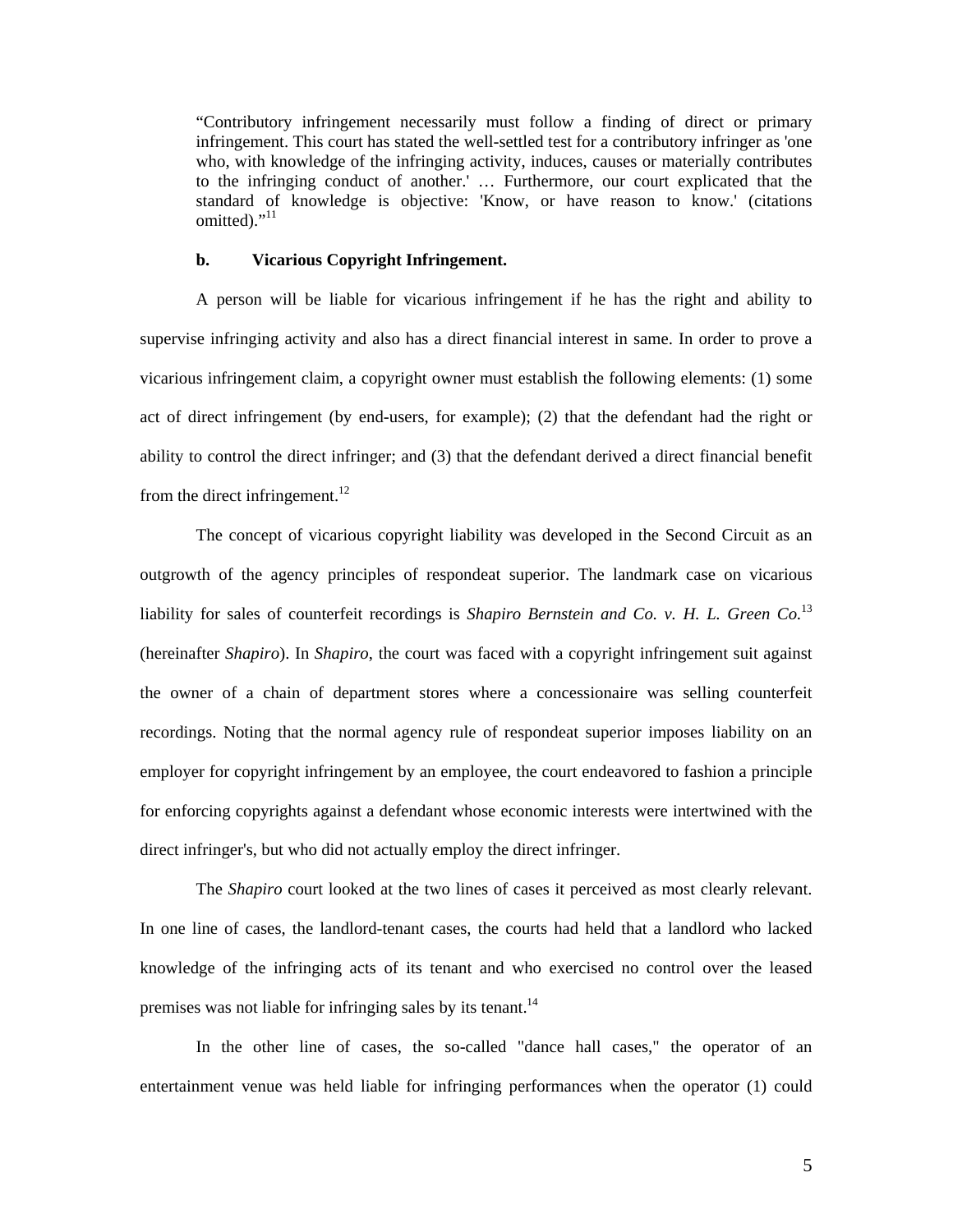"Contributory infringement necessarily must follow a finding of direct or primary infringement. This court has stated the well-settled test for a contributory infringer as 'one who, with knowledge of the infringing activity, induces, causes or materially contributes to the infringing conduct of another.' … Furthermore, our court explicated that the standard of knowledge is objective: 'Know, or have reason to know.' (citations omitted)." $11$ 

#### **b. Vicarious Copyright Infringement.**

A person will be liable for vicarious infringement if he has the right and ability to supervise infringing activity and also has a direct financial interest in same. In order to prove a vicarious infringement claim, a copyright owner must establish the following elements: (1) some act of direct infringement (by end-users, for example); (2) that the defendant had the right or ability to control the direct infringer; and (3) that the defendant derived a direct financial benefit from the direct infringement.<sup>12</sup>

The concept of vicarious copyright liability was developed in the Second Circuit as an outgrowth of the agency principles of respondeat superior. The landmark case on vicarious liability for sales of counterfeit recordings is *Shapiro Bernstein and Co. v. H. L. Green Co.*<sup>13</sup> (hereinafter *Shapiro*). In *Shapiro*, the court was faced with a copyright infringement suit against the owner of a chain of department stores where a concessionaire was selling counterfeit recordings. Noting that the normal agency rule of respondeat superior imposes liability on an employer for copyright infringement by an employee, the court endeavored to fashion a principle for enforcing copyrights against a defendant whose economic interests were intertwined with the direct infringer's, but who did not actually employ the direct infringer.

The *Shapiro* court looked at the two lines of cases it perceived as most clearly relevant. In one line of cases, the landlord-tenant cases, the courts had held that a landlord who lacked knowledge of the infringing acts of its tenant and who exercised no control over the leased premises was not liable for infringing sales by its tenant.<sup>14</sup>

In the other line of cases, the so-called "dance hall cases," the operator of an entertainment venue was held liable for infringing performances when the operator (1) could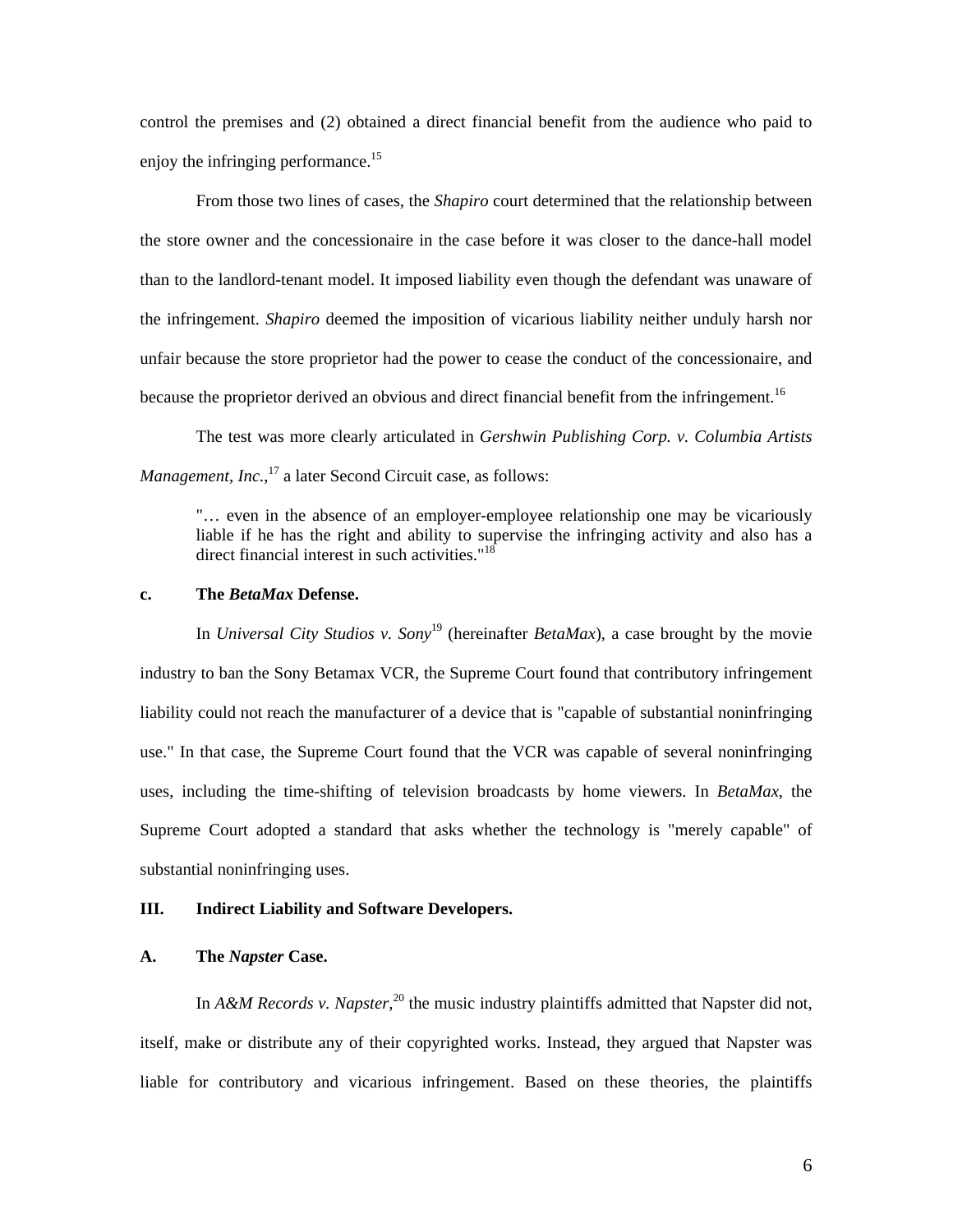control the premises and (2) obtained a direct financial benefit from the audience who paid to enjoy the infringing performance.<sup>15</sup>

From those two lines of cases, the *Shapiro* court determined that the relationship between the store owner and the concessionaire in the case before it was closer to the dance-hall model than to the landlord-tenant model. It imposed liability even though the defendant was unaware of the infringement. *Shapiro* deemed the imposition of vicarious liability neither unduly harsh nor unfair because the store proprietor had the power to cease the conduct of the concessionaire, and because the proprietor derived an obvious and direct financial benefit from the infringement.<sup>16</sup>

The test was more clearly articulated in *Gershwin Publishing Corp. v. Columbia Artists Management, Inc.*,<sup>17</sup> a later Second Circuit case, as follows:

"… even in the absence of an employer-employee relationship one may be vicariously liable if he has the right and ability to supervise the infringing activity and also has a direct financial interest in such activities."<sup>18</sup>

# **c. The** *BetaMax* **Defense.**

In *Universal City Studios v. Sony*19 (hereinafter *BetaMax*), a case brought by the movie industry to ban the Sony Betamax VCR, the Supreme Court found that contributory infringement liability could not reach the manufacturer of a device that is "capable of substantial noninfringing use." In that case, the Supreme Court found that the VCR was capable of several noninfringing uses, including the time-shifting of television broadcasts by home viewers. In *BetaMax*, the Supreme Court adopted a standard that asks whether the technology is "merely capable" of substantial noninfringing uses.

## **III. Indirect Liability and Software Developers.**

## **A. The** *Napster* **Case.**

In  $A\&M$  *Records v. Napster*,<sup>20</sup> the music industry plaintiffs admitted that Napster did not, itself, make or distribute any of their copyrighted works. Instead, they argued that Napster was liable for contributory and vicarious infringement. Based on these theories, the plaintiffs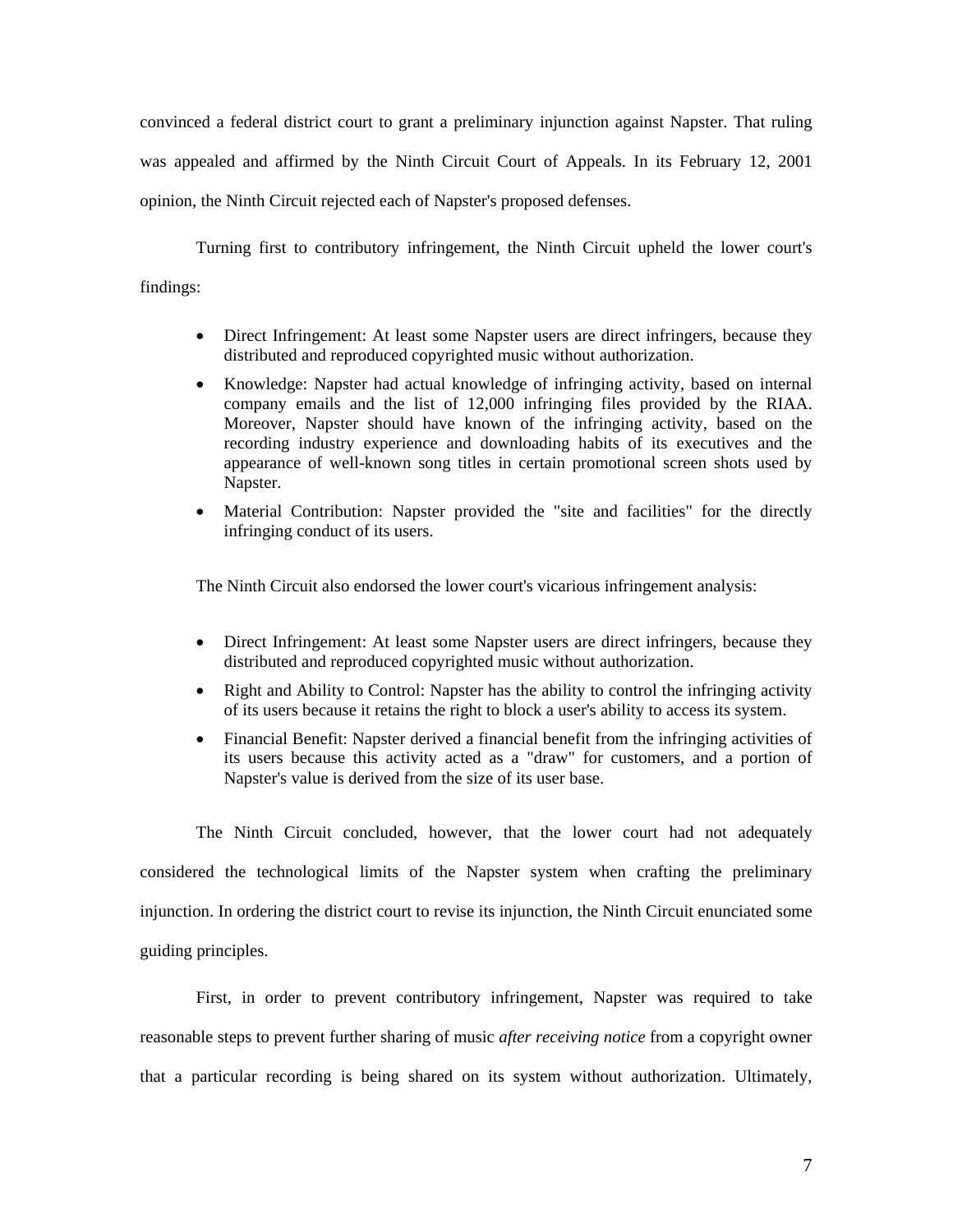convinced a federal district court to grant a preliminary injunction against Napster. That ruling was appealed and affirmed by the Ninth Circuit Court of Appeals. In its February 12, 2001 opinion, the Ninth Circuit rejected each of Napster's proposed defenses.

Turning first to contributory infringement, the Ninth Circuit upheld the lower court's findings:

- Direct Infringement: At least some Napster users are direct infringers, because they distributed and reproduced copyrighted music without authorization.
- Knowledge: Napster had actual knowledge of infringing activity, based on internal company emails and the list of 12,000 infringing files provided by the RIAA. Moreover, Napster should have known of the infringing activity, based on the recording industry experience and downloading habits of its executives and the appearance of well-known song titles in certain promotional screen shots used by Napster.
- Material Contribution: Napster provided the "site and facilities" for the directly infringing conduct of its users.

The Ninth Circuit also endorsed the lower court's vicarious infringement analysis:

- Direct Infringement: At least some Napster users are direct infringers, because they distributed and reproduced copyrighted music without authorization.
- Right and Ability to Control: Napster has the ability to control the infringing activity of its users because it retains the right to block a user's ability to access its system.
- Financial Benefit: Napster derived a financial benefit from the infringing activities of its users because this activity acted as a "draw" for customers, and a portion of Napster's value is derived from the size of its user base.

The Ninth Circuit concluded, however, that the lower court had not adequately considered the technological limits of the Napster system when crafting the preliminary injunction. In ordering the district court to revise its injunction, the Ninth Circuit enunciated some guiding principles.

First, in order to prevent contributory infringement, Napster was required to take reasonable steps to prevent further sharing of music *after receiving notice* from a copyright owner that a particular recording is being shared on its system without authorization. Ultimately,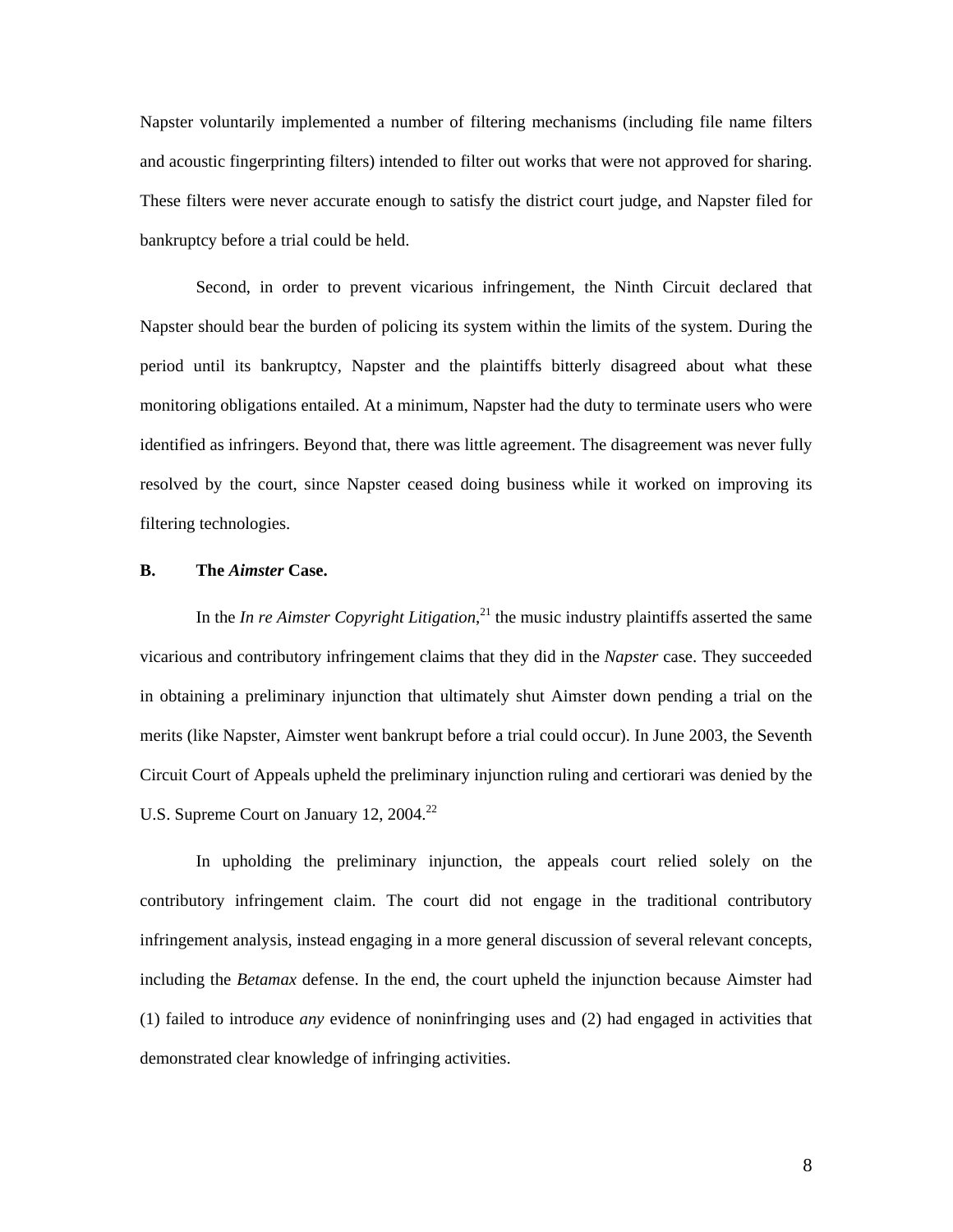Napster voluntarily implemented a number of filtering mechanisms (including file name filters and acoustic fingerprinting filters) intended to filter out works that were not approved for sharing. These filters were never accurate enough to satisfy the district court judge, and Napster filed for bankruptcy before a trial could be held.

Second, in order to prevent vicarious infringement, the Ninth Circuit declared that Napster should bear the burden of policing its system within the limits of the system. During the period until its bankruptcy, Napster and the plaintiffs bitterly disagreed about what these monitoring obligations entailed. At a minimum, Napster had the duty to terminate users who were identified as infringers. Beyond that, there was little agreement. The disagreement was never fully resolved by the court, since Napster ceased doing business while it worked on improving its filtering technologies.

#### **B. The** *Aimster* **Case.**

In the *In re Aimster Copyright Litigation*, 21 the music industry plaintiffs asserted the same vicarious and contributory infringement claims that they did in the *Napster* case. They succeeded in obtaining a preliminary injunction that ultimately shut Aimster down pending a trial on the merits (like Napster, Aimster went bankrupt before a trial could occur). In June 2003, the Seventh Circuit Court of Appeals upheld the preliminary injunction ruling and certiorari was denied by the U.S. Supreme Court on January 12, 2004.<sup>22</sup>

In upholding the preliminary injunction, the appeals court relied solely on the contributory infringement claim. The court did not engage in the traditional contributory infringement analysis, instead engaging in a more general discussion of several relevant concepts, including the *Betamax* defense. In the end, the court upheld the injunction because Aimster had (1) failed to introduce *any* evidence of noninfringing uses and (2) had engaged in activities that demonstrated clear knowledge of infringing activities.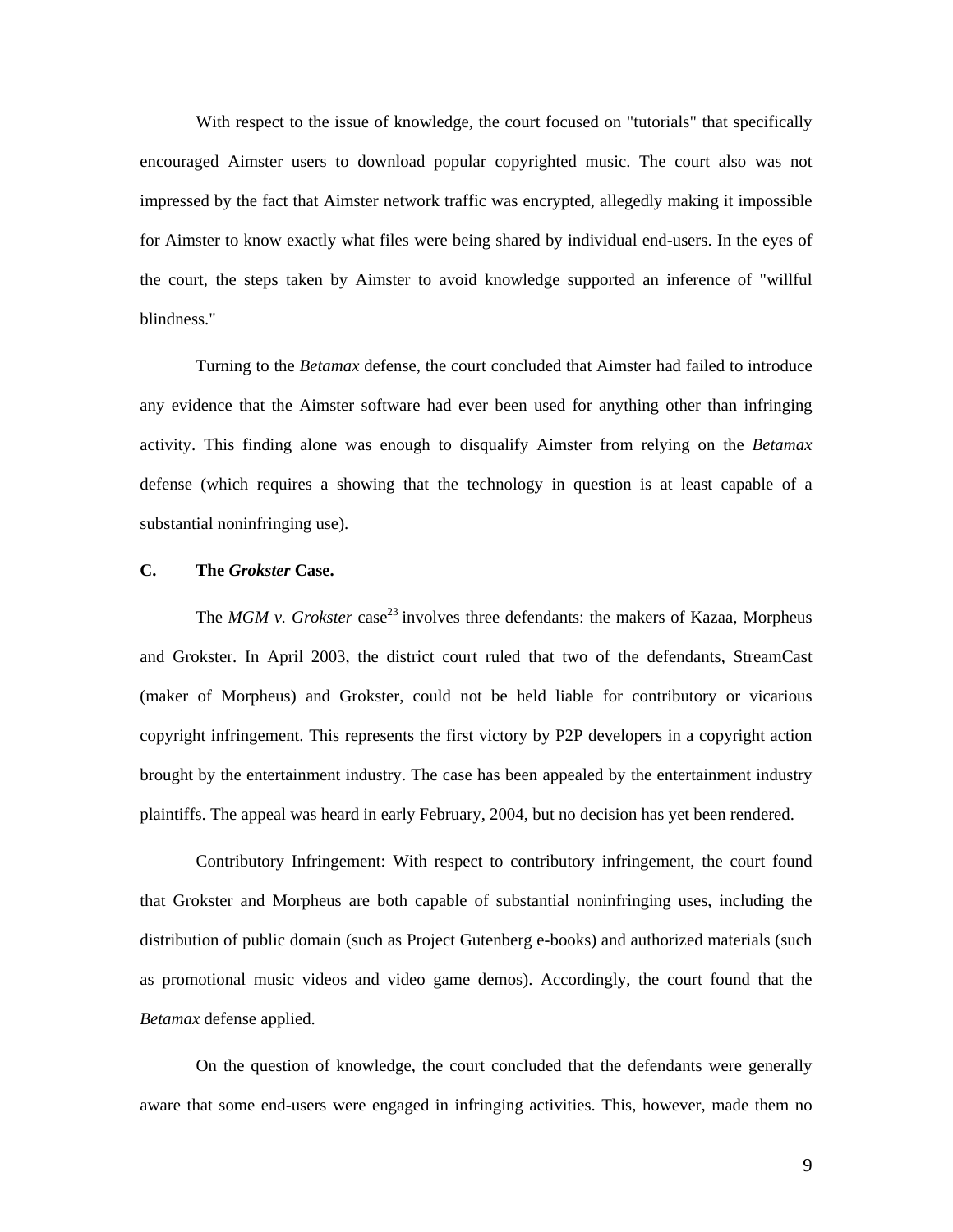With respect to the issue of knowledge, the court focused on "tutorials" that specifically encouraged Aimster users to download popular copyrighted music. The court also was not impressed by the fact that Aimster network traffic was encrypted, allegedly making it impossible for Aimster to know exactly what files were being shared by individual end-users. In the eyes of the court, the steps taken by Aimster to avoid knowledge supported an inference of "willful blindness."

Turning to the *Betamax* defense, the court concluded that Aimster had failed to introduce any evidence that the Aimster software had ever been used for anything other than infringing activity. This finding alone was enough to disqualify Aimster from relying on the *Betamax* defense (which requires a showing that the technology in question is at least capable of a substantial noninfringing use).

# **C. The** *Grokster* **Case.**

The *MGM v. Grokster* case<sup>23</sup> involves three defendants: the makers of Kazaa, Morpheus and Grokster. In April 2003, the district court ruled that two of the defendants, StreamCast (maker of Morpheus) and Grokster, could not be held liable for contributory or vicarious copyright infringement. This represents the first victory by P2P developers in a copyright action brought by the entertainment industry. The case has been appealed by the entertainment industry plaintiffs. The appeal was heard in early February, 2004, but no decision has yet been rendered.

Contributory Infringement: With respect to contributory infringement, the court found that Grokster and Morpheus are both capable of substantial noninfringing uses, including the distribution of public domain (such as Project Gutenberg e-books) and authorized materials (such as promotional music videos and video game demos). Accordingly, the court found that the *Betamax* defense applied.

On the question of knowledge, the court concluded that the defendants were generally aware that some end-users were engaged in infringing activities. This, however, made them no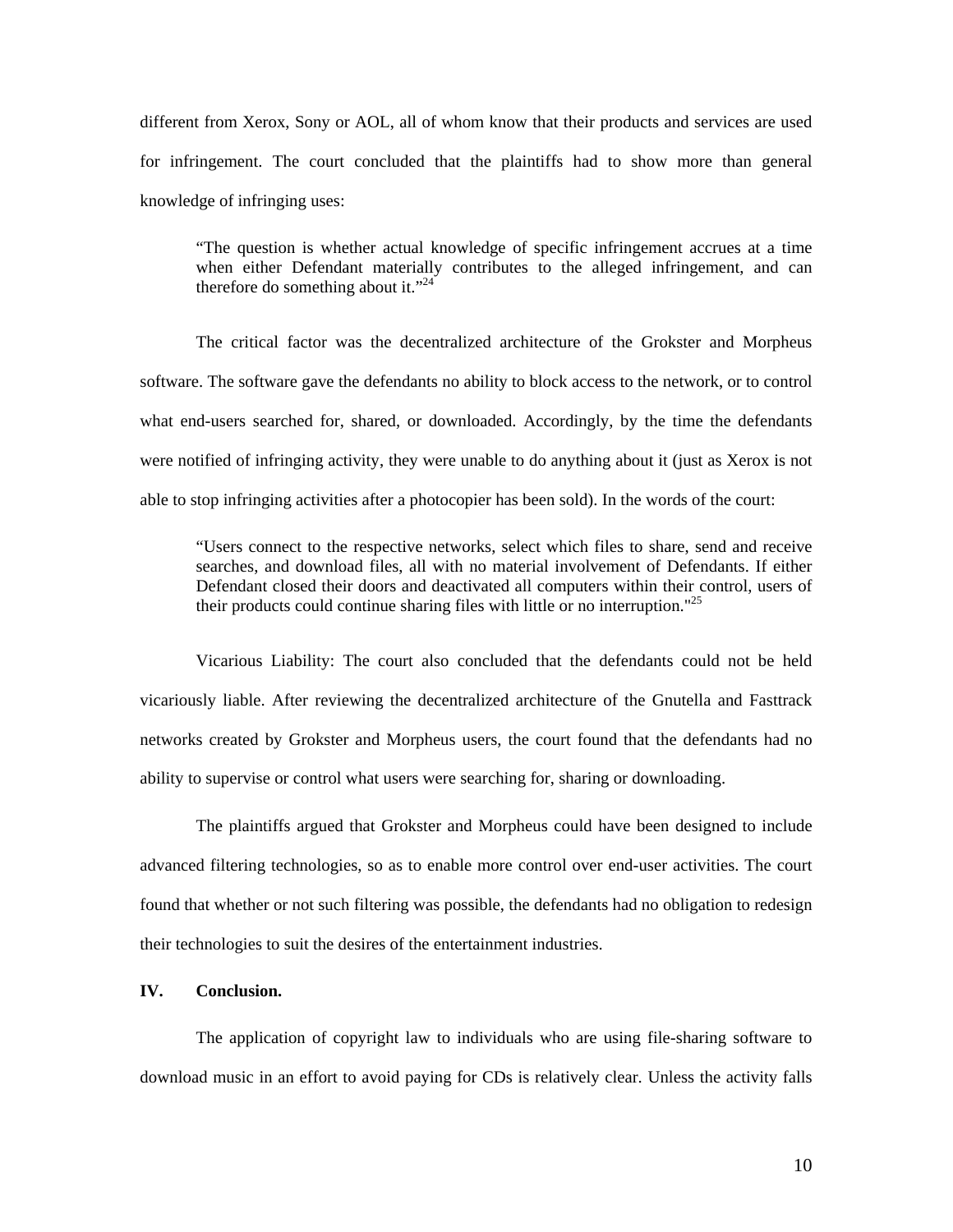different from Xerox, Sony or AOL, all of whom know that their products and services are used for infringement. The court concluded that the plaintiffs had to show more than general knowledge of infringing uses:

"The question is whether actual knowledge of specific infringement accrues at a time when either Defendant materially contributes to the alleged infringement, and can therefore do something about it."<sup>24</sup>

The critical factor was the decentralized architecture of the Grokster and Morpheus software. The software gave the defendants no ability to block access to the network, or to control what end-users searched for, shared, or downloaded. Accordingly, by the time the defendants were notified of infringing activity, they were unable to do anything about it (just as Xerox is not able to stop infringing activities after a photocopier has been sold). In the words of the court:

"Users connect to the respective networks, select which files to share, send and receive searches, and download files, all with no material involvement of Defendants. If either Defendant closed their doors and deactivated all computers within their control, users of their products could continue sharing files with little or no interruption."25

Vicarious Liability: The court also concluded that the defendants could not be held vicariously liable. After reviewing the decentralized architecture of the Gnutella and Fasttrack networks created by Grokster and Morpheus users, the court found that the defendants had no ability to supervise or control what users were searching for, sharing or downloading.

The plaintiffs argued that Grokster and Morpheus could have been designed to include advanced filtering technologies, so as to enable more control over end-user activities. The court found that whether or not such filtering was possible, the defendants had no obligation to redesign their technologies to suit the desires of the entertainment industries.

## **IV. Conclusion.**

The application of copyright law to individuals who are using file-sharing software to download music in an effort to avoid paying for CDs is relatively clear. Unless the activity falls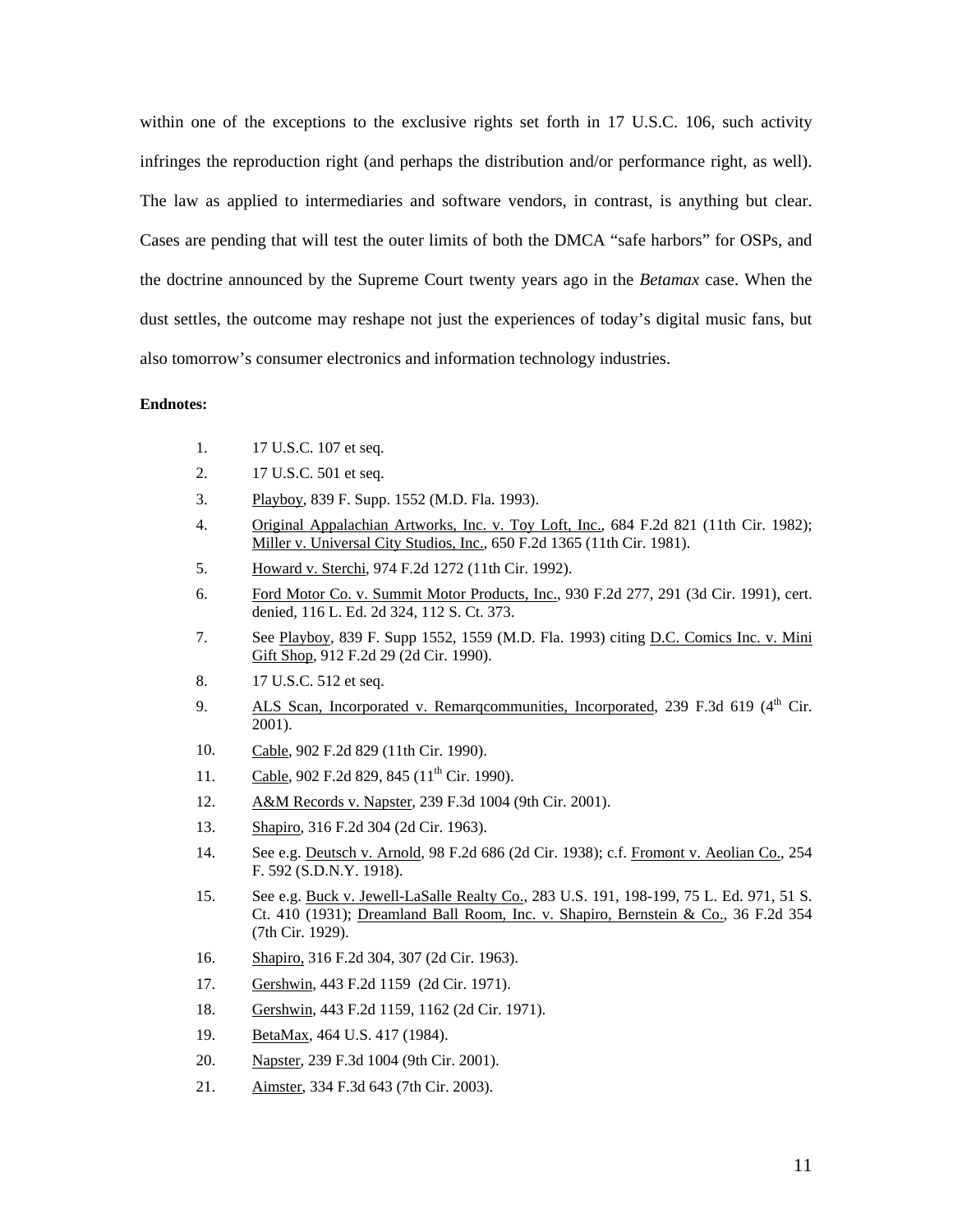within one of the exceptions to the exclusive rights set forth in 17 U.S.C. 106, such activity infringes the reproduction right (and perhaps the distribution and/or performance right, as well). The law as applied to intermediaries and software vendors, in contrast, is anything but clear. Cases are pending that will test the outer limits of both the DMCA "safe harbors" for OSPs, and the doctrine announced by the Supreme Court twenty years ago in the *Betamax* case. When the dust settles, the outcome may reshape not just the experiences of today's digital music fans, but also tomorrow's consumer electronics and information technology industries.

## **Endnotes:**

- 1. 17 U.S.C. 107 et seq.
- 2. 17 U.S.C. 501 et seq.
- 3. Playboy, 839 F. Supp. 1552 (M.D. Fla. 1993).
- 4. Original Appalachian Artworks, Inc. v. Toy Loft, Inc., 684 F.2d 821 (11th Cir. 1982); Miller v. Universal City Studios, Inc., 650 F.2d 1365 (11th Cir. 1981).
- 5. Howard v. Sterchi, 974 F.2d 1272 (11th Cir. 1992).
- 6. Ford Motor Co. v. Summit Motor Products, Inc., 930 F.2d 277, 291 (3d Cir. 1991), cert. denied, 116 L. Ed. 2d 324, 112 S. Ct. 373.
- 7. See Playboy, 839 F. Supp 1552, 1559 (M.D. Fla. 1993) citing <u>D</u>.C. Comics Inc. v. Mini Gift Shop, 912 F.2d 29 (2d Cir. 1990).
- 8. 17 U.S.C. 512 et seq.
- 9. ALS Scan, Incorporated v. Remarqcommunities, Incorporated, 239 F.3d 619 (4<sup>th</sup> Cir. 2001).
- 10. Cable, 902 F.2d 829 (11th Cir. 1990).
- 11. Cable, 902 F.2d 829, 845 (11<sup>th</sup> Cir. 1990).
- 12. A&M Records v. Napster, 239 F.3d 1004 (9th Cir. 2001).
- 13. Shapiro, 316 F.2d 304 (2d Cir. 1963).
- 14. See e.g. Deutsch v. Arnold, 98 F.2d 686 (2d Cir. 1938); c.f. Fromont v. Aeolian Co., 254 F. 592 (S.D.N.Y. 1918).
- 15. See e.g. Buck v. Jewell-LaSalle Realty Co., 283 U.S. 191, 198-199, 75 L. Ed. 971, 51 S. Ct. 410 (1931); Dreamland Ball Room, Inc. v. Shapiro, Bernstein & Co., 36 F.2d 354 (7th Cir. 1929).
- 16. Shapiro, 316 F.2d 304, 307 (2d Cir. 1963).
- 17. Gershwin, 443 F.2d 1159 (2d Cir. 1971).
- 18. Gershwin, 443 F.2d 1159, 1162 (2d Cir. 1971).
- 19. BetaMax, 464 U.S. 417 (1984).
- 20. Napster, 239 F.3d 1004 (9th Cir. 2001).
- 21. Aimster, 334 F.3d 643 (7th Cir. 2003).